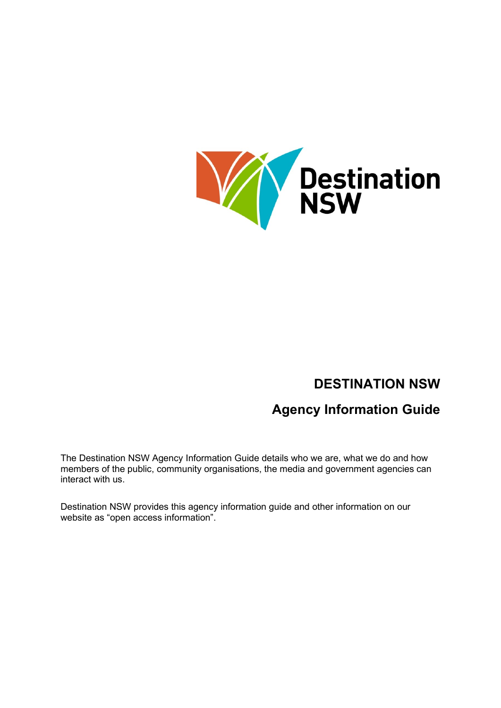

# **DESTINATION NSW**

# **Agency Information Guide**

The Destination NSW Agency Information Guide details who we are, what we do and how members of the public, community organisations, the media and government agencies can interact with us.

Destination NSW provides this agency information guide and other information on our website as "open access information".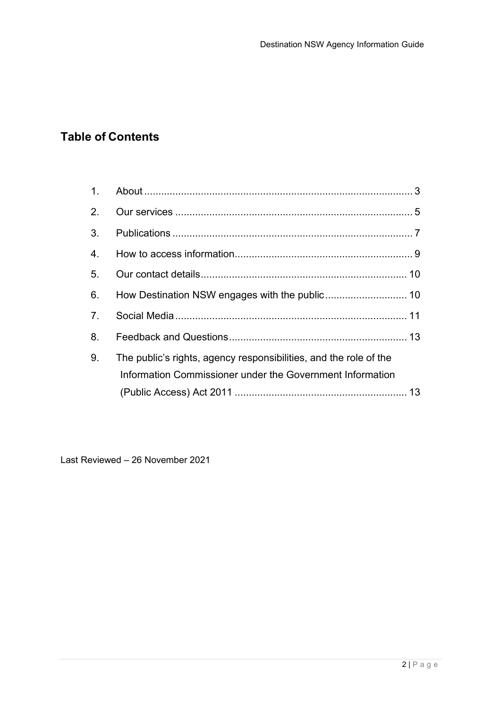# **Table of Contents**

| $1_{-}$          |                                                                                                                                |  |
|------------------|--------------------------------------------------------------------------------------------------------------------------------|--|
| 2.               |                                                                                                                                |  |
| 3.               |                                                                                                                                |  |
| $\overline{4}$ . |                                                                                                                                |  |
| 5.               |                                                                                                                                |  |
| 6.               |                                                                                                                                |  |
| 7 <sub>1</sub>   |                                                                                                                                |  |
| 8.               |                                                                                                                                |  |
| 9.               | The public's rights, agency responsibilities, and the role of the<br>Information Commissioner under the Government Information |  |
|                  |                                                                                                                                |  |

Last Reviewed – 26 November 2021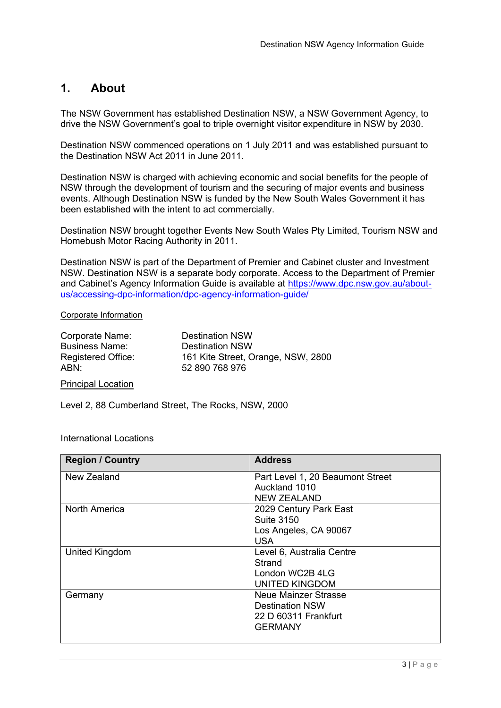## <span id="page-2-0"></span>**1. About**

The NSW Government has established Destination NSW, a NSW Government Agency, to drive the NSW Government's goal to triple overnight visitor expenditure in NSW by 2030.

Destination NSW commenced operations on 1 July 2011 and was established pursuant to the Destination NSW Act 2011 in June 2011.

Destination NSW is charged with achieving economic and social benefits for the people of NSW through the development of tourism and the securing of major events and business events. Although Destination NSW is funded by the New South Wales Government it has been established with the intent to act commercially.

Destination NSW brought together Events New South Wales Pty Limited, Tourism NSW and Homebush Motor Racing Authority in 2011.

Destination NSW is part of the Department of Premier and Cabinet cluster and Investment NSW. Destination NSW is a separate body corporate. Access to the Department of Premier and Cabinet's Agency Information Guide is available at [https://www.dpc.nsw.gov.au/about](https://www.dpc.nsw.gov.au/about-us/accessing-dpc-information/dpc-agency-information-guide/)[us/accessing-dpc-information/dpc-agency-information-guide/](https://www.dpc.nsw.gov.au/about-us/accessing-dpc-information/dpc-agency-information-guide/)

#### Corporate Information

| Corporate Name:           |  |
|---------------------------|--|
| <b>Business Name:</b>     |  |
| <b>Registered Office:</b> |  |
| ABN:                      |  |

Destination NSW **Destination NSW** 161 Kite Street, Orange, NSW, 2800 52 890 768 976

#### Principal Location

Level 2, 88 Cumberland Street, The Rocks, NSW, 2000

### International Locations

| <b>Region / Country</b> | <b>Address</b>                   |
|-------------------------|----------------------------------|
| New Zealand             | Part Level 1, 20 Beaumont Street |
|                         | Auckland 1010                    |
|                         | <b>NEW ZEALAND</b>               |
| <b>North America</b>    | 2029 Century Park East           |
|                         | <b>Suite 3150</b>                |
|                         | Los Angeles, CA 90067            |
|                         | <b>USA</b>                       |
| United Kingdom          | Level 6, Australia Centre        |
|                         | Strand                           |
|                         | London WC2B 4LG                  |
|                         | <b>UNITED KINGDOM</b>            |
| Germany                 | Neue Mainzer Strasse             |
|                         | <b>Destination NSW</b>           |
|                         | 22 D 60311 Frankfurt             |
|                         | <b>GERMANY</b>                   |
|                         |                                  |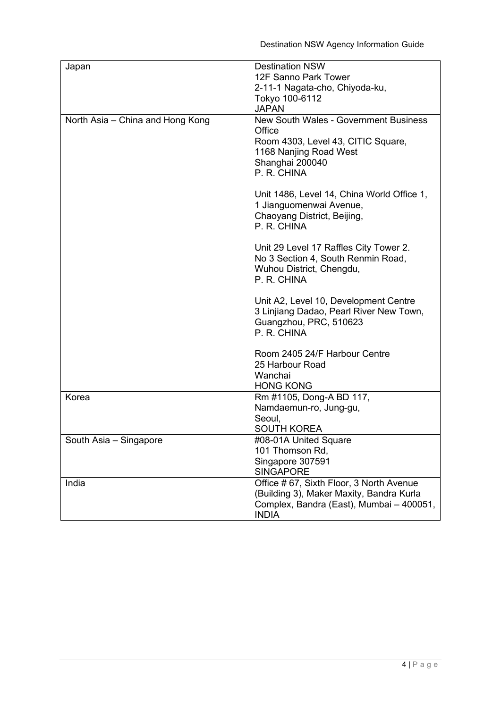| Japan                            | <b>Destination NSW</b><br>12F Sanno Park Tower<br>2-11-1 Nagata-cho, Chiyoda-ku,<br>Tokyo 100-6112<br><b>JAPAN</b>                                       |
|----------------------------------|----------------------------------------------------------------------------------------------------------------------------------------------------------|
| North Asia - China and Hong Kong | <b>New South Wales - Government Business</b><br>Office<br>Room 4303, Level 43, CITIC Square,<br>1168 Nanjing Road West<br>Shanghai 200040<br>P. R. CHINA |
|                                  | Unit 1486, Level 14, China World Office 1,<br>1 Jianguomenwai Avenue,<br>Chaoyang District, Beijing,<br>P. R. CHINA                                      |
|                                  | Unit 29 Level 17 Raffles City Tower 2.<br>No 3 Section 4, South Renmin Road,<br>Wuhou District, Chengdu,<br>P. R. CHINA                                  |
|                                  | Unit A2, Level 10, Development Centre<br>3 Linjiang Dadao, Pearl River New Town,<br>Guangzhou, PRC, 510623<br>P. R. CHINA                                |
|                                  | Room 2405 24/F Harbour Centre<br>25 Harbour Road<br>Wanchai<br><b>HONG KONG</b>                                                                          |
| Korea                            | Rm #1105, Dong-A BD 117,<br>Namdaemun-ro, Jung-gu,<br>Seoul,<br><b>SOUTH KOREA</b>                                                                       |
| South Asia - Singapore           | #08-01A United Square<br>101 Thomson Rd,<br>Singapore 307591<br><b>SINGAPORE</b>                                                                         |
| India                            | Office #67, Sixth Floor, 3 North Avenue<br>(Building 3), Maker Maxity, Bandra Kurla<br>Complex, Bandra (East), Mumbai - 400051,<br><b>INDIA</b>          |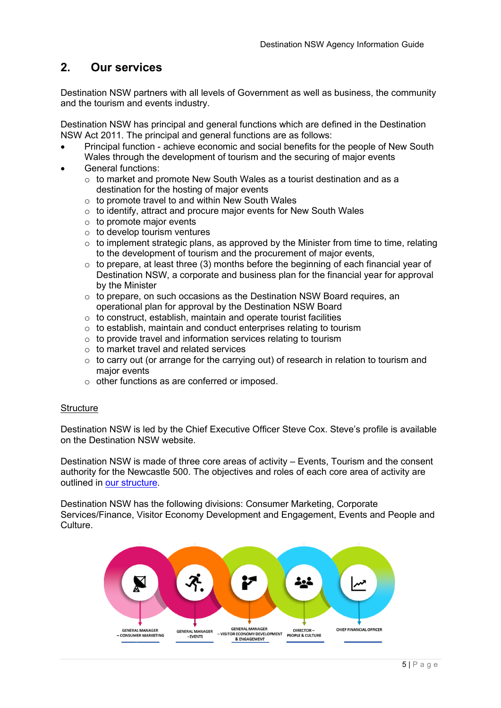# <span id="page-4-0"></span>**2. Our services**

Destination NSW partners with all levels of Government as well as business, the community and the tourism and events industry.

Destination NSW has principal and general functions which are defined in the Destination NSW Act 2011. The principal and general functions are as follows:

- Principal function achieve economic and social benefits for the people of New South Wales through the development of tourism and the securing of major events
- General functions:
	- o to market and promote New South Wales as a tourist destination and as a destination for the hosting of major events
	- $\circ$  to promote travel to and within New South Wales
	- $\circ$  to identify, attract and procure major events for New South Wales
	- $\circ$  to promote major events
	- $\circ$  to develop tourism ventures
	- $\circ$  to implement strategic plans, as approved by the Minister from time to time, relating to the development of tourism and the procurement of major events,
	- $\circ$  to prepare, at least three (3) months before the beginning of each financial year of Destination NSW, a corporate and business plan for the financial year for approval by the Minister
	- $\circ$  to prepare, on such occasions as the Destination NSW Board requires, an operational plan for approval by the Destination NSW Board
	- $\circ$  to construct, establish, maintain and operate tourist facilities
	- $\circ$  to establish, maintain and conduct enterprises relating to tourism
	- o to provide travel and information services relating to tourism
	- $\circ$  to market travel and related services
	- $\circ$  to carry out (or arrange for the carrying out) of research in relation to tourism and major events
	- o other functions as are conferred or imposed.

#### **Structure**

Destination NSW is led by the Chief Executive Officer Steve Cox. Steve's profile is available on the Destination NSW website.

Destination NSW is made of three core areas of activity – Events, Tourism and the consent authority for the Newcastle 500. The objectives and roles of each core area of activity are outlined in [our structure.](https://www.destinationnsw.com.au/about-us/our-structure)

Destination NSW has the following divisions: Consumer Marketing, Corporate Services/Finance, Visitor Economy Development and Engagement, Events and People and **Culture** 

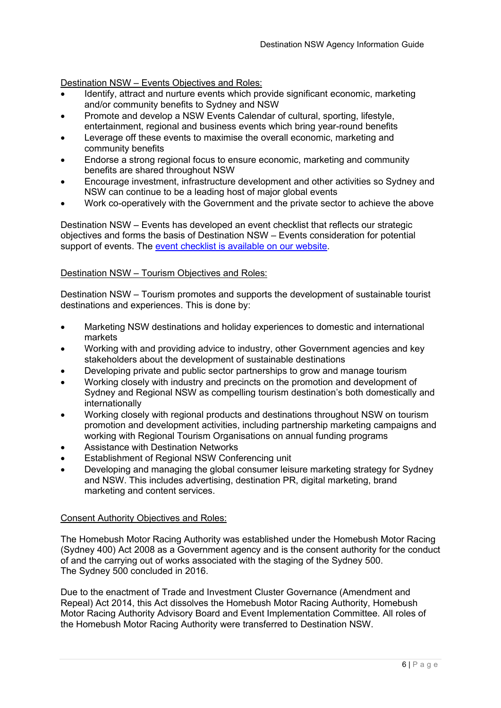### Destination NSW – Events Objectives and Roles:

- Identify, attract and nurture events which provide significant economic, marketing and/or community benefits to Sydney and NSW
- Promote and develop a NSW Events Calendar of cultural, sporting, lifestyle, entertainment, regional and business events which bring year-round benefits
- Leverage off these events to maximise the overall economic, marketing and community benefits
- Endorse a strong regional focus to ensure economic, marketing and community benefits are shared throughout NSW
- Encourage investment, infrastructure development and other activities so Sydney and NSW can continue to be a leading host of major global events
- Work co-operatively with the Government and the private sector to achieve the above

Destination NSW – Events has developed an event checklist that reflects our strategic objectives and forms the basis of Destination NSW – Events consideration for potential support of events. The [event checklist is available on our website.](https://www.destinationnsw.com.au/events/investment)

### Destination NSW – Tourism Objectives and Roles:

Destination NSW – Tourism promotes and supports the development of sustainable tourist destinations and experiences. This is done by:

- Marketing NSW destinations and holiday experiences to domestic and international markets
- Working with and providing advice to industry, other Government agencies and key stakeholders about the development of sustainable destinations
- Developing private and public sector partnerships to grow and manage tourism
- Working closely with industry and precincts on the promotion and development of Sydney and Regional NSW as compelling tourism destination's both domestically and internationally
- Working closely with regional products and destinations throughout NSW on tourism promotion and development activities, including partnership marketing campaigns and working with Regional Tourism Organisations on annual funding programs
- Assistance with Destination Networks
- **Establishment of Regional NSW Conferencing unit**
- Developing and managing the global consumer leisure marketing strategy for Sydney and NSW. This includes advertising, destination PR, digital marketing, brand marketing and content services.

### Consent Authority Objectives and Roles:

The Homebush Motor Racing Authority was established under the Homebush Motor Racing (Sydney 400) Act 2008 as a Government agency and is the consent authority for the conduct of and the carrying out of works associated with the staging of the Sydney 500. The Sydney 500 concluded in 2016.

Due to the enactment of Trade and Investment Cluster Governance (Amendment and Repeal) Act 2014, this Act dissolves the Homebush Motor Racing Authority, Homebush Motor Racing Authority Advisory Board and Event Implementation Committee. All roles of the Homebush Motor Racing Authority were transferred to Destination NSW.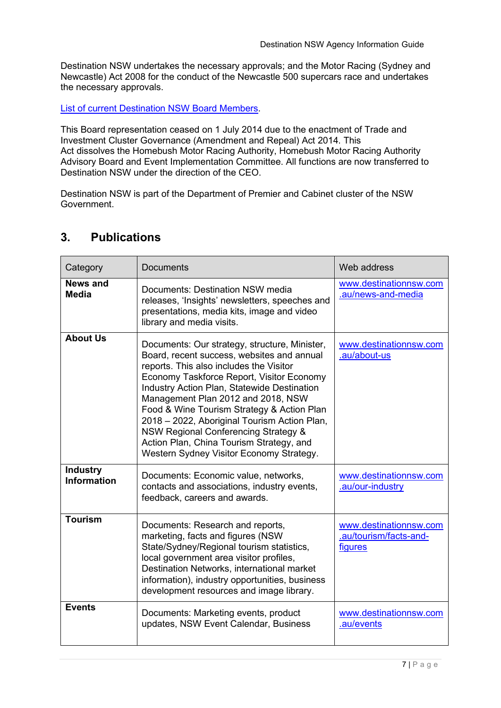Destination NSW undertakes the necessary approvals; and the Motor Racing (Sydney and Newcastle) Act 2008 for the conduct of the Newcastle 500 supercars race and undertakes the necessary approvals.

[List of current Destination NSW Board Members.](https://www.destinationnsw.com.au/about-us/our-board)

This Board representation ceased on 1 July 2014 due to the enactment of Trade and Investment Cluster Governance (Amendment and Repeal) Act 2014. This Act dissolves the Homebush Motor Racing Authority, Homebush Motor Racing Authority Advisory Board and Event Implementation Committee. All functions are now transferred to Destination NSW under the direction of the CEO.

Destination NSW is part of the Department of Premier and Cabinet cluster of the NSW Government.

| Category                              | <b>Documents</b>                                                                                                                                                                                                                                                                                                                                                                                                                                                                                                  | Web address                                                 |
|---------------------------------------|-------------------------------------------------------------------------------------------------------------------------------------------------------------------------------------------------------------------------------------------------------------------------------------------------------------------------------------------------------------------------------------------------------------------------------------------------------------------------------------------------------------------|-------------------------------------------------------------|
| News and<br>Media                     | Documents: Destination NSW media<br>releases, 'Insights' newsletters, speeches and<br>presentations, media kits, image and video<br>library and media visits.                                                                                                                                                                                                                                                                                                                                                     | www.destinationnsw.com<br>.au/news-and-media                |
| <b>About Us</b>                       | Documents: Our strategy, structure, Minister,<br>Board, recent success, websites and annual<br>reports. This also includes the Visitor<br>Economy Taskforce Report, Visitor Economy<br>Industry Action Plan, Statewide Destination<br>Management Plan 2012 and 2018, NSW<br>Food & Wine Tourism Strategy & Action Plan<br>2018 - 2022, Aboriginal Tourism Action Plan,<br><b>NSW Regional Conferencing Strategy &amp;</b><br>Action Plan, China Tourism Strategy, and<br>Western Sydney Visitor Economy Strategy. | www.destinationnsw.com<br>.au/about-us                      |
| <b>Industry</b><br><b>Information</b> | Documents: Economic value, networks,<br>contacts and associations, industry events,<br>feedback, careers and awards.                                                                                                                                                                                                                                                                                                                                                                                              | www.destinationnsw.com<br>.au/our-industry                  |
| <b>Tourism</b>                        | Documents: Research and reports,<br>marketing, facts and figures (NSW<br>State/Sydney/Regional tourism statistics,<br>local government area visitor profiles,<br>Destination Networks, international market<br>information), industry opportunities, business<br>development resources and image library.                                                                                                                                                                                                         | www.destinationnsw.com<br>.au/tourism/facts-and-<br>figures |
| <b>Events</b>                         | Documents: Marketing events, product<br>updates, NSW Event Calendar, Business                                                                                                                                                                                                                                                                                                                                                                                                                                     | www.destinationnsw.com<br>.au/events                        |

# <span id="page-6-0"></span>**3. Publications**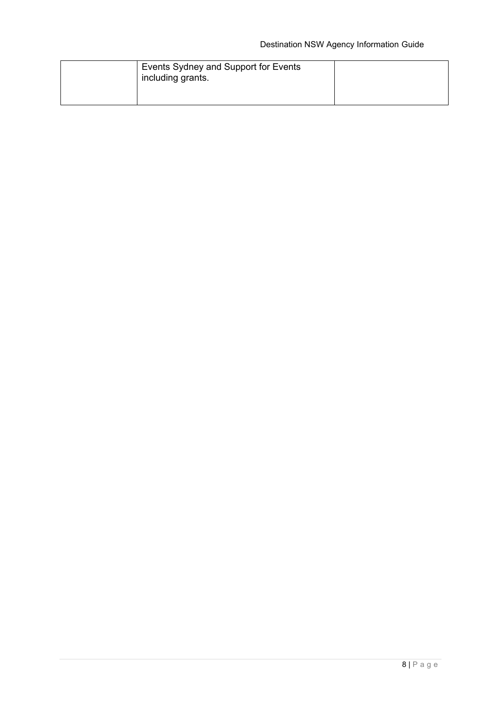| Events Sydney and Support for Events<br>including grants. |  |
|-----------------------------------------------------------|--|
|                                                           |  |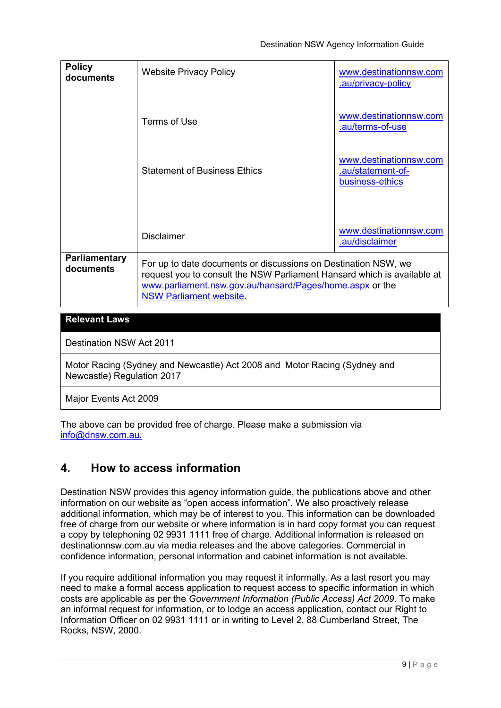| <b>Policy</b><br>documents | <b>Website Privacy Policy</b>                                                                                                                                                                                                           | www.destinationnsw.com<br>.au/privacy-policy                   |
|----------------------------|-----------------------------------------------------------------------------------------------------------------------------------------------------------------------------------------------------------------------------------------|----------------------------------------------------------------|
|                            | Terms of Use                                                                                                                                                                                                                            | www.destinationnsw.com<br>.au/terms-of-use                     |
|                            | <b>Statement of Business Ethics</b>                                                                                                                                                                                                     | www.destinationnsw.com<br>.au/statement-of-<br>business-ethics |
|                            |                                                                                                                                                                                                                                         |                                                                |
|                            | <b>Disclaimer</b>                                                                                                                                                                                                                       | www.destinationnsw.com<br>.au/disclaimer                       |
| Parliamentary<br>documents | For up to date documents or discussions on Destination NSW, we<br>request you to consult the NSW Parliament Hansard which is available at<br>www.parliament.nsw.gov.au/hansard/Pages/home.aspx or the<br><b>NSW Parliament website.</b> |                                                                |
| <b>Relevant Laws</b>       |                                                                                                                                                                                                                                         |                                                                |

Destination NSW Act 2011

Motor Racing (Sydney and Newcastle) Act 2008 and Motor Racing (Sydney and Newcastle) Regulation 2017

Major Events Act 2009

The above can be provided free of charge. Please make a submission via [info@dnsw.com.au.](mailto:info@dnsw.com.au)

# <span id="page-8-0"></span>**4. How to access information**

Destination NSW provides this agency information guide, the publications above and other information on our website as "open access information". We also proactively release additional information, which may be of interest to you. This information can be downloaded free of charge from our website or where information is in hard copy format you can request a copy by telephoning 02 9931 1111 free of charge. Additional information is released on destinationnsw.com.au via media releases and the above categories. Commercial in confidence information, personal information and cabinet information is not available.

If you require additional information you may request it informally. As a last resort you may need to make a formal access application to request access to specific information in which costs are applicable as per the *Government Information (Public Access) Act 2009*. To make an informal request for information, or to lodge an access application, contact our Right to Information Officer on 02 9931 1111 or in writing to Level 2, 88 Cumberland Street, The Rocks, NSW, 2000.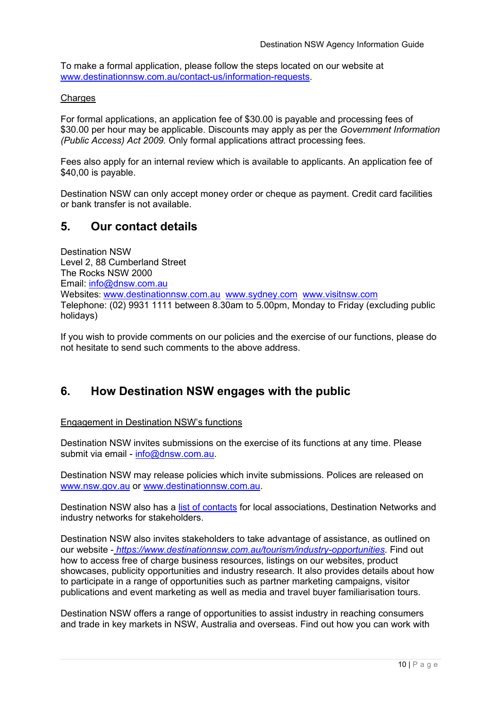To make a formal application, please follow the steps located on our website at [www.destinationnsw.com.au/contact-us/information-requests.](http://www.destinationnsw.com.au/contact-us/information-requests)

### Charges

For formal applications, an application fee of \$30.00 is payable and processing fees of \$30.00 per hour may be applicable. Discounts may apply as per the *Government Information (Public Access) Act 2009.* Only formal applications attract processing fees.

Fees also apply for an internal review which is available to applicants. An application fee of \$40,00 is payable.

Destination NSW can only accept money order or cheque as payment. Credit card facilities or bank transfer is not available.

### <span id="page-9-0"></span>**5. Our contact details**

Destination NSW Level 2, 88 Cumberland Street The Rocks NSW 2000 Email: [info@dnsw.com.au](mailto:info@dnsw.com.au) Websites: [www.destinationnsw.com.au](http://www.destinationnsw.com.au/) [www.sydney.com](http://www.sydney.com/) [www.visitnsw.com](http://www.visitnsw.com/)  Telephone: (02) 9931 1111 between 8.30am to 5.00pm, Monday to Friday (excluding public holidays)

If you wish to provide comments on our policies and the exercise of our functions, please do not hesitate to send such comments to the above address.

# <span id="page-9-1"></span>**6. How Destination NSW engages with the public**

### Engagement in Destination NSW's functions

Destination NSW invites submissions on the exercise of its functions at any time. Please submit via email - [info@dnsw.com.au.](mailto:info@dnsw.com.au)

Destination NSW may release policies which invite submissions. Polices are released on [www.nsw.gov.au](http://www.nsw.gov.au/) or [www.destinationnsw.com.au.](http://www.destinationnsw.com.au/)

Destination NSW also has a [list of contacts](https://www.destinationnsw.com.au/our-industry/contacts-and-associations) for local associations, Destination Networks and industry networks for stakeholders.

Destination NSW also invites stakeholders to take advantage of assistance, as outlined on our website - *https://www.destinationnsw.com.au/tourism/industry-opportunities*. Find out how to access free of charge business resources, listings on our websites, product showcases, publicity opportunities and industry research. It also provides details about how to participate in a range of opportunities such as partner marketing campaigns, visitor publications and event marketing as well as media and travel buyer familiarisation tours.

Destination NSW offers a range of opportunities to assist industry in reaching consumers and trade in key markets in NSW, Australia and overseas. Find out how you can work with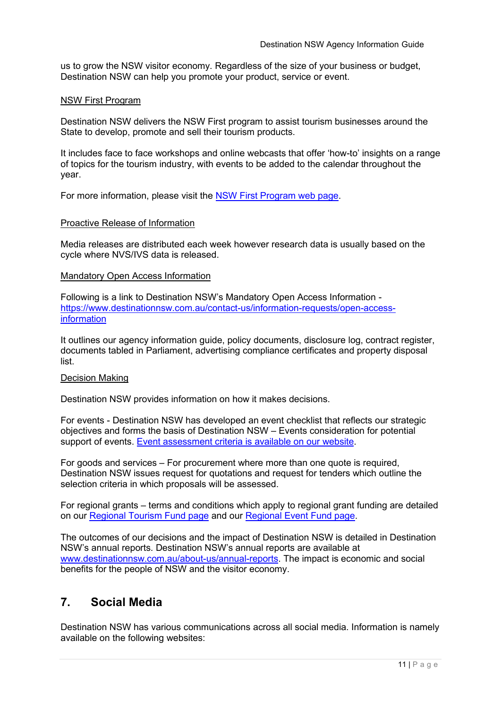us to grow the NSW visitor economy. Regardless of the size of your business or budget, Destination NSW can help you promote your product, service or event.

#### NSW First Program

Destination NSW delivers the NSW First program to assist tourism businesses around the State to develop, promote and sell their tourism products.

It includes face to face workshops and online webcasts that offer 'how-to' insights on a range of topics for the tourism industry, with events to be added to the calendar throughout the year.

For more information, please visit the [NSW First Program web page.](https://www.destinationnsw.com.au/tourism/business-development-resources/nsw-first-workshops-program)

#### Proactive Release of Information

Media releases are distributed each week however research data is usually based on the cycle where NVS/IVS data is released.

#### Mandatory Open Access Information

Following is a link to Destination NSW's Mandatory Open Access Information [https://www.destinationnsw.com.au/contact-us/information-requests/open-access](https://www.destinationnsw.com.au/contact-us/information-requests/open-access-information)[information](https://www.destinationnsw.com.au/contact-us/information-requests/open-access-information)

It outlines our agency information guide, policy documents, disclosure log, contract register, documents tabled in Parliament, advertising compliance certificates and property disposal list.

#### Decision Making

Destination NSW provides information on how it makes decisions.

For events - Destination NSW has developed an event checklist that reflects our strategic objectives and forms the basis of Destination NSW – Events consideration for potential support of events. Event [assessment criteria is available on our website.](https://www.destinationnsw.com.au/events/investment)

For goods and services – For procurement where more than one quote is required, Destination NSW issues request for quotations and request for tenders which outline the selection criteria in which proposals will be assessed.

For regional grants – terms and conditions which apply to regional grant funding are detailed on our [Regional Tourism Fund page](https://www.destinationnsw.com.au/tourism/business-development-resources/funding-and-grants/regional-tourism-fund) and our [Regional Event Fund page.](https://www.destinationnsw.com.au/tourism/business-development-resources/funding-and-grants/regional-flagship-events-program)

The outcomes of our decisions and the impact of Destination NSW is detailed in Destination NSW's annual reports. Destination NSW's annual reports are available at [www.destinationnsw.com.au/about-us/annual-reports.](http://www.destinationnsw.com.au/about-us/annual-reports) The impact is economic and social benefits for the people of NSW and the visitor economy.

### <span id="page-10-0"></span>**7. Social Media**

Destination NSW has various communications across all social media. Information is namely available on the following websites: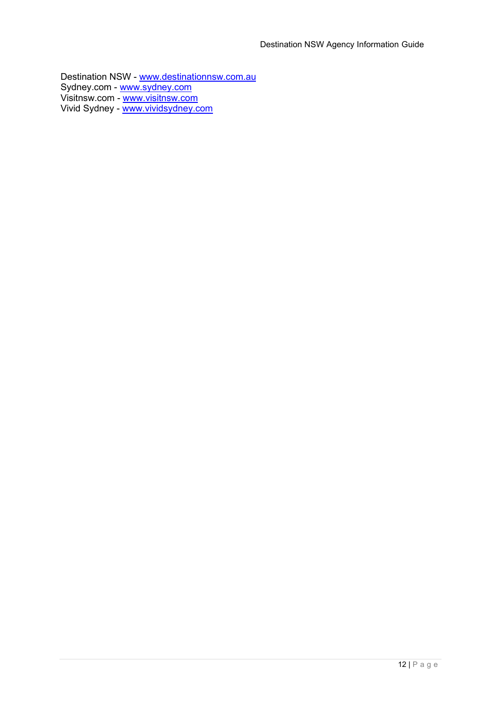Destination NSW - [www.destinationnsw.com.au](http://www.destinationnsw.com.au/) Sydney.com - [www.sydney.com](http://www.sydney.com/) Visitnsw.com - <u>[www.visitnsw.com](http://www.visitnsw.com/)</u> Vivid Sydney - [www.vividsydney.com](https://www.vividsydney.com/)